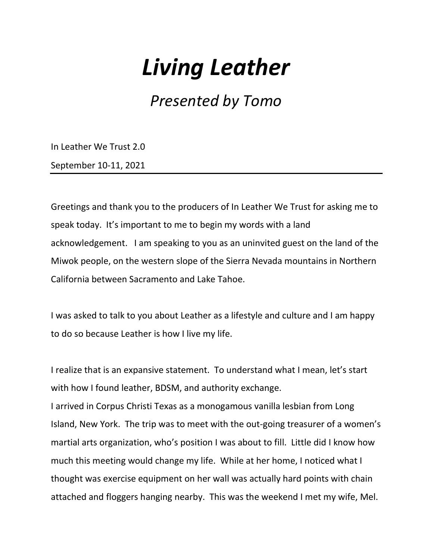# Living Leather

Presented by Tomo

In Leather We Trust 2.0

September 10-11, 2021

Greetings and thank you to the producers of In Leather We Trust for asking me to speak today. It's important to me to begin my words with a land acknowledgement. I am speaking to you as an uninvited guest on the land of the Miwok people, on the western slope of the Sierra Nevada mountains in Northern California between Sacramento and Lake Tahoe.

I was asked to talk to you about Leather as a lifestyle and culture and I am happy to do so because Leather is how I live my life.

I realize that is an expansive statement. To understand what I mean, let's start with how I found leather, BDSM, and authority exchange.

I arrived in Corpus Christi Texas as a monogamous vanilla lesbian from Long Island, New York. The trip was to meet with the out-going treasurer of a women's martial arts organization, who's position I was about to fill. Little did I know how much this meeting would change my life. While at her home, I noticed what I thought was exercise equipment on her wall was actually hard points with chain attached and floggers hanging nearby. This was the weekend I met my wife, Mel.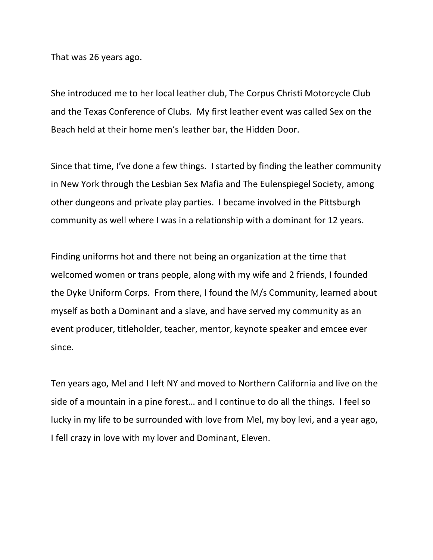That was 26 years ago.

She introduced me to her local leather club, The Corpus Christi Motorcycle Club and the Texas Conference of Clubs. My first leather event was called Sex on the Beach held at their home men's leather bar, the Hidden Door.

Since that time, I've done a few things. I started by finding the leather community in New York through the Lesbian Sex Mafia and The Eulenspiegel Society, among other dungeons and private play parties. I became involved in the Pittsburgh community as well where I was in a relationship with a dominant for 12 years.

Finding uniforms hot and there not being an organization at the time that welcomed women or trans people, along with my wife and 2 friends, I founded the Dyke Uniform Corps. From there, I found the M/s Community, learned about myself as both a Dominant and a slave, and have served my community as an event producer, titleholder, teacher, mentor, keynote speaker and emcee ever since.

Ten years ago, Mel and I left NY and moved to Northern California and live on the side of a mountain in a pine forest… and I continue to do all the things. I feel so lucky in my life to be surrounded with love from Mel, my boy levi, and a year ago, I fell crazy in love with my lover and Dominant, Eleven.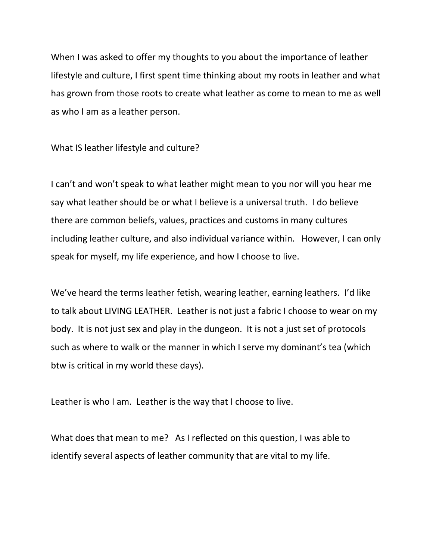When I was asked to offer my thoughts to you about the importance of leather lifestyle and culture, I first spent time thinking about my roots in leather and what has grown from those roots to create what leather as come to mean to me as well as who I am as a leather person.

What IS leather lifestyle and culture?

I can't and won't speak to what leather might mean to you nor will you hear me say what leather should be or what I believe is a universal truth. I do believe there are common beliefs, values, practices and customs in many cultures including leather culture, and also individual variance within. However, I can only speak for myself, my life experience, and how I choose to live.

We've heard the terms leather fetish, wearing leather, earning leathers. I'd like to talk about LIVING LEATHER. Leather is not just a fabric I choose to wear on my body. It is not just sex and play in the dungeon. It is not a just set of protocols such as where to walk or the manner in which I serve my dominant's tea (which btw is critical in my world these days).

Leather is who I am. Leather is the way that I choose to live.

What does that mean to me? As I reflected on this question, I was able to identify several aspects of leather community that are vital to my life.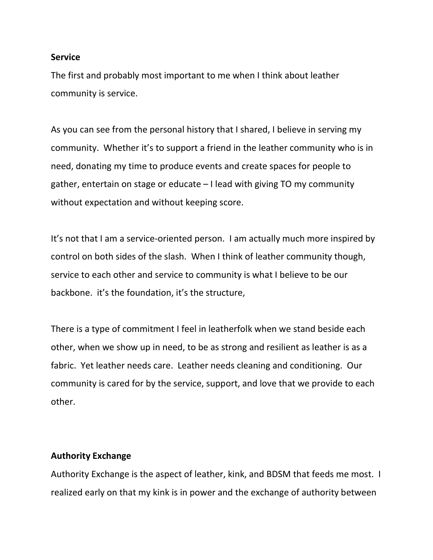## **Service**

The first and probably most important to me when I think about leather community is service.

As you can see from the personal history that I shared, I believe in serving my community. Whether it's to support a friend in the leather community who is in need, donating my time to produce events and create spaces for people to gather, entertain on stage or educate – I lead with giving TO my community without expectation and without keeping score.

It's not that I am a service-oriented person. I am actually much more inspired by control on both sides of the slash. When I think of leather community though, service to each other and service to community is what I believe to be our backbone. it's the foundation, it's the structure,

There is a type of commitment I feel in leatherfolk when we stand beside each other, when we show up in need, to be as strong and resilient as leather is as a fabric. Yet leather needs care. Leather needs cleaning and conditioning. Our community is cared for by the service, support, and love that we provide to each other.

## Authority Exchange

Authority Exchange is the aspect of leather, kink, and BDSM that feeds me most. I realized early on that my kink is in power and the exchange of authority between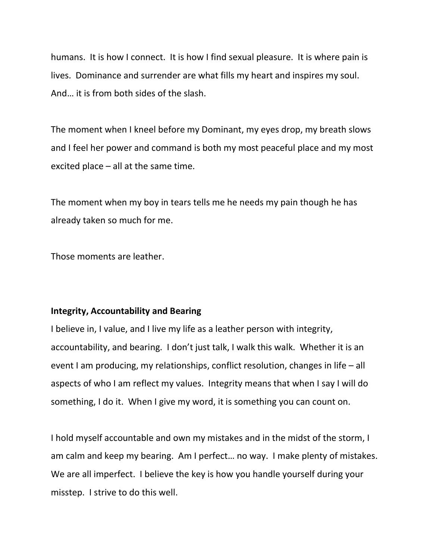humans. It is how I connect. It is how I find sexual pleasure. It is where pain is lives. Dominance and surrender are what fills my heart and inspires my soul. And… it is from both sides of the slash.

The moment when I kneel before my Dominant, my eyes drop, my breath slows and I feel her power and command is both my most peaceful place and my most excited place – all at the same time.

The moment when my boy in tears tells me he needs my pain though he has already taken so much for me.

Those moments are leather.

## Integrity, Accountability and Bearing

I believe in, I value, and I live my life as a leather person with integrity, accountability, and bearing. I don't just talk, I walk this walk. Whether it is an event I am producing, my relationships, conflict resolution, changes in life – all aspects of who I am reflect my values. Integrity means that when I say I will do something, I do it. When I give my word, it is something you can count on.

I hold myself accountable and own my mistakes and in the midst of the storm, I am calm and keep my bearing. Am I perfect… no way. I make plenty of mistakes. We are all imperfect. I believe the key is how you handle yourself during your misstep. I strive to do this well.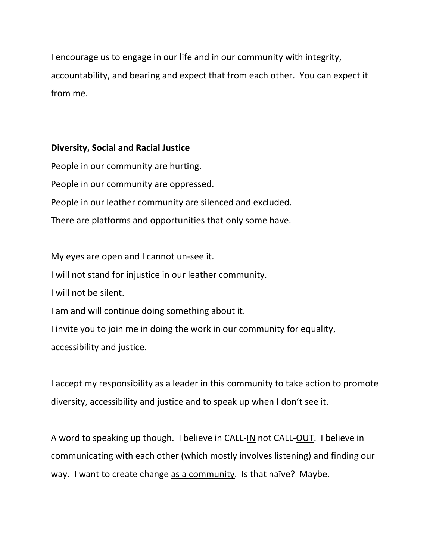I encourage us to engage in our life and in our community with integrity, accountability, and bearing and expect that from each other. You can expect it from me.

# Diversity, Social and Racial Justice

People in our community are hurting. People in our community are oppressed. People in our leather community are silenced and excluded. There are platforms and opportunities that only some have.

My eyes are open and I cannot un-see it.

I will not stand for injustice in our leather community.

I will not be silent.

I am and will continue doing something about it.

I invite you to join me in doing the work in our community for equality,

accessibility and justice.

I accept my responsibility as a leader in this community to take action to promote diversity, accessibility and justice and to speak up when I don't see it.

A word to speaking up though. I believe in CALL-IN not CALL-OUT. I believe in communicating with each other (which mostly involves listening) and finding our way. I want to create change as a community. Is that naïve? Maybe.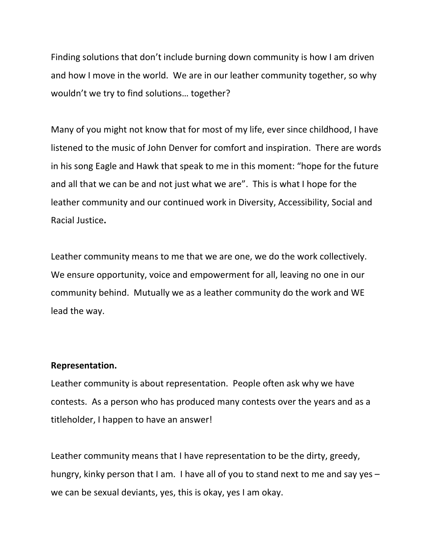Finding solutions that don't include burning down community is how I am driven and how I move in the world. We are in our leather community together, so why wouldn't we try to find solutions… together?

Many of you might not know that for most of my life, ever since childhood, I have listened to the music of John Denver for comfort and inspiration. There are words in his song Eagle and Hawk that speak to me in this moment: "hope for the future and all that we can be and not just what we are". This is what I hope for the leather community and our continued work in Diversity, Accessibility, Social and Racial Justice.

Leather community means to me that we are one, we do the work collectively. We ensure opportunity, voice and empowerment for all, leaving no one in our community behind. Mutually we as a leather community do the work and WE lead the way.

#### Representation.

Leather community is about representation. People often ask why we have contests. As a person who has produced many contests over the years and as a titleholder, I happen to have an answer!

Leather community means that I have representation to be the dirty, greedy, hungry, kinky person that I am. I have all of you to stand next to me and say yes – we can be sexual deviants, yes, this is okay, yes I am okay.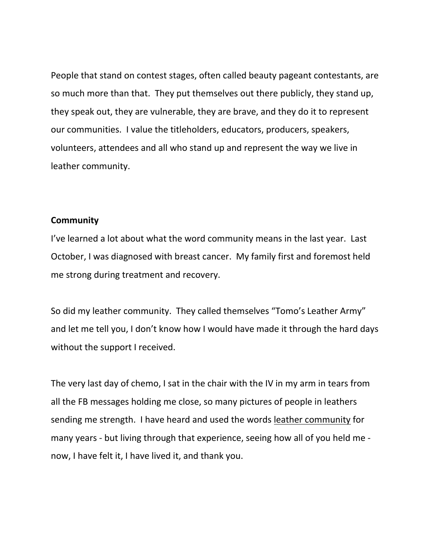People that stand on contest stages, often called beauty pageant contestants, are so much more than that. They put themselves out there publicly, they stand up, they speak out, they are vulnerable, they are brave, and they do it to represent our communities. I value the titleholders, educators, producers, speakers, volunteers, attendees and all who stand up and represent the way we live in leather community.

### **Community**

I've learned a lot about what the word community means in the last year. Last October, I was diagnosed with breast cancer. My family first and foremost held me strong during treatment and recovery.

So did my leather community. They called themselves "Tomo's Leather Army" and let me tell you, I don't know how I would have made it through the hard days without the support I received.

The very last day of chemo, I sat in the chair with the IV in my arm in tears from all the FB messages holding me close, so many pictures of people in leathers sending me strength. I have heard and used the words leather community for many years - but living through that experience, seeing how all of you held me now, I have felt it, I have lived it, and thank you.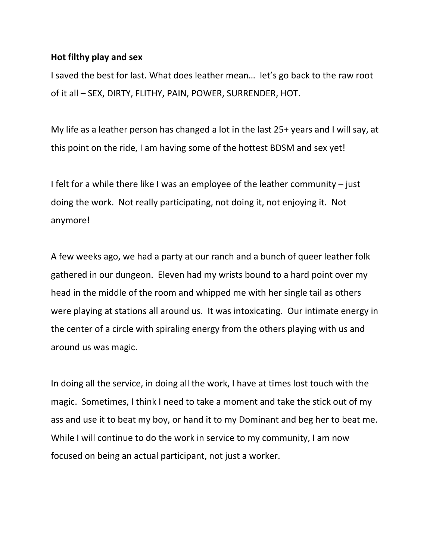## Hot filthy play and sex

I saved the best for last. What does leather mean… let's go back to the raw root of it all – SEX, DIRTY, FLITHY, PAIN, POWER, SURRENDER, HOT.

My life as a leather person has changed a lot in the last 25+ years and I will say, at this point on the ride, I am having some of the hottest BDSM and sex yet!

I felt for a while there like I was an employee of the leather community – just doing the work. Not really participating, not doing it, not enjoying it. Not anymore!

A few weeks ago, we had a party at our ranch and a bunch of queer leather folk gathered in our dungeon. Eleven had my wrists bound to a hard point over my head in the middle of the room and whipped me with her single tail as others were playing at stations all around us. It was intoxicating. Our intimate energy in the center of a circle with spiraling energy from the others playing with us and around us was magic.

In doing all the service, in doing all the work, I have at times lost touch with the magic. Sometimes, I think I need to take a moment and take the stick out of my ass and use it to beat my boy, or hand it to my Dominant and beg her to beat me. While I will continue to do the work in service to my community, I am now focused on being an actual participant, not just a worker.